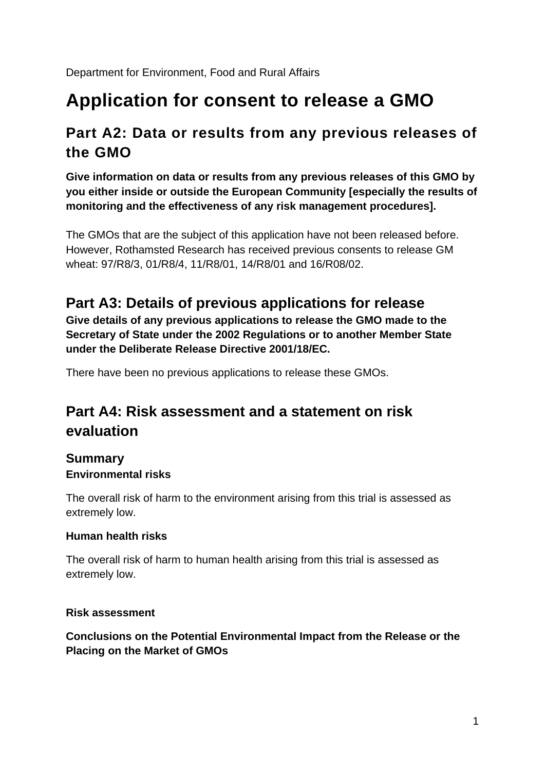Department for Environment, Food and Rural Affairs

# **Application for consent to release a GMO**

### **Part A2: Data or results from any previous releases of the GMO**

**Give information on data or results from any previous releases of this GMO by you either inside or outside the European Community [especially the results of monitoring and the effectiveness of any risk management procedures].** 

The GMOs that are the subject of this application have not been released before. However, Rothamsted Research has received previous consents to release GM wheat: 97/R8/3, 01/R8/4, 11/R8/01, 14/R8/01 and 16/R08/02.

### **Part A3: Details of previous applications for release**

**Give details of any previous applications to release the GMO made to the Secretary of State under the 2002 Regulations or to another Member State under the Deliberate Release Directive 2001/18/EC.** 

There have been no previous applications to release these GMOs.

### **Part A4: Risk assessment and a statement on risk evaluation**

#### **Summary Environmental risks**

The overall risk of harm to the environment arising from this trial is assessed as extremely low.

#### **Human health risks**

The overall risk of harm to human health arising from this trial is assessed as extremely low.

#### **Risk assessment**

#### **Conclusions on the Potential Environmental Impact from the Release or the Placing on the Market of GMOs**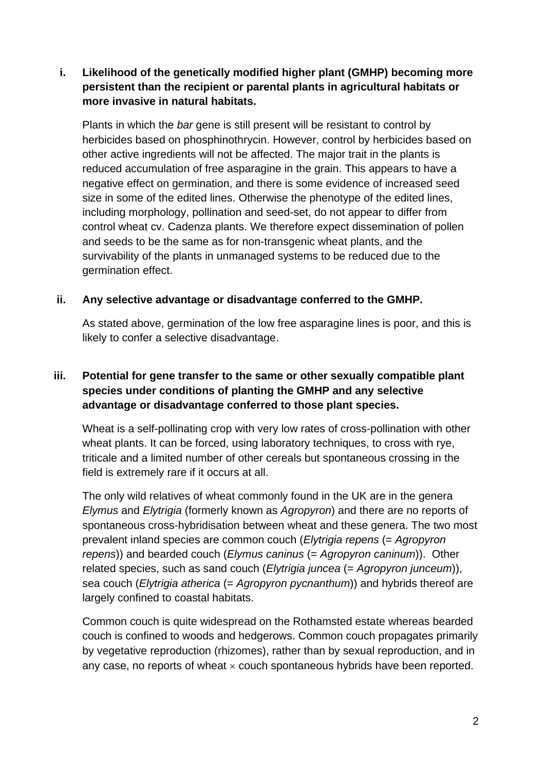#### **i. Likelihood of the genetically modified higher plant (GMHP) becoming more persistent than the recipient or parental plants in agricultural habitats or more invasive in natural habitats.**

Plants in which the *bar* gene is still present will be resistant to control by herbicides based on phosphinothrycin. However, control by herbicides based on other active ingredients will not be affected. The major trait in the plants is reduced accumulation of free asparagine in the grain. This appears to have a negative effect on germination, and there is some evidence of increased seed size in some of the edited lines. Otherwise the phenotype of the edited lines, including morphology, pollination and seed-set, do not appear to differ from control wheat cv. Cadenza plants. We therefore expect dissemination of pollen and seeds to be the same as for non-transgenic wheat plants, and the survivability of the plants in unmanaged systems to be reduced due to the germination effect.

#### **ii. Any selective advantage or disadvantage conferred to the GMHP.**

As stated above, germination of the low free asparagine lines is poor, and this is likely to confer a selective disadvantage.

#### **iii. Potential for gene transfer to the same or other sexually compatible plant species under conditions of planting the GMHP and any selective advantage or disadvantage conferred to those plant species.**

Wheat is a self-pollinating crop with very low rates of cross-pollination with other wheat plants. It can be forced, using laboratory techniques, to cross with rye, triticale and a limited number of other cereals but spontaneous crossing in the field is extremely rare if it occurs at all.

The only wild relatives of wheat commonly found in the UK are in the genera *Elymus* and *Elytrigia* (formerly known as *Agropyron*) and there are no reports of spontaneous cross-hybridisation between wheat and these genera. The two most prevalent inland species are common couch (*Elytrigia repens* (= *Agropyron repens*)) and bearded couch (*Elymus caninus* (= *Agropyron caninum*)). Other related species, such as sand couch (*Elytrigia juncea* (= *Agropyron junceum*)), sea couch (*Elytrigia atherica* (= *Agropyron pycnanthum*)) and hybrids thereof are largely confined to coastal habitats.

Common couch is quite widespread on the Rothamsted estate whereas bearded couch is confined to woods and hedgerows. Common couch propagates primarily by vegetative reproduction (rhizomes), rather than by sexual reproduction, and in any case, no reports of wheat  $\times$  couch spontaneous hybrids have been reported.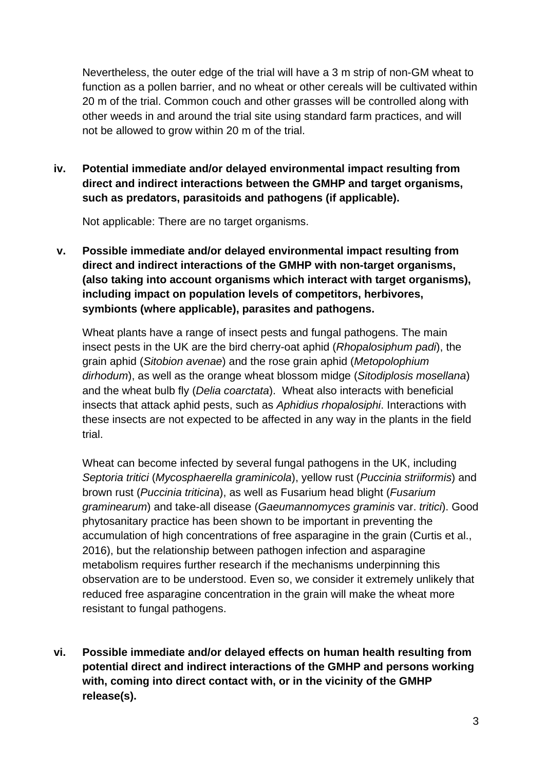Nevertheless, the outer edge of the trial will have a 3 m strip of non-GM wheat to function as a pollen barrier, and no wheat or other cereals will be cultivated within 20 m of the trial. Common couch and other grasses will be controlled along with other weeds in and around the trial site using standard farm practices, and will not be allowed to grow within 20 m of the trial.

**iv. Potential immediate and/or delayed environmental impact resulting from direct and indirect interactions between the GMHP and target organisms, such as predators, parasitoids and pathogens (if applicable).**

Not applicable: There are no target organisms.

**v. Possible immediate and/or delayed environmental impact resulting from direct and indirect interactions of the GMHP with non-target organisms, (also taking into account organisms which interact with target organisms), including impact on population levels of competitors, herbivores, symbionts (where applicable), parasites and pathogens.**

Wheat plants have a range of insect pests and fungal pathogens. The main insect pests in the UK are the bird cherry-oat aphid (*Rhopalosiphum padi*), the grain aphid (*Sitobion avenae*) and the rose grain aphid (*Metopolophium dirhodum*), as well as the orange wheat blossom midge (*Sitodiplosis mosellana*) and the wheat bulb fly (*Delia coarctata*). Wheat also interacts with beneficial insects that attack aphid pests, such as *Aphidius rhopalosiphi*. Interactions with these insects are not expected to be affected in any way in the plants in the field trial.

Wheat can become infected by several fungal pathogens in the UK, including *Septoria tritici* (*Mycosphaerella graminicola*), yellow rust (*Puccinia striiformis*) and brown rust (*Puccinia triticina*), as well as Fusarium head blight (*Fusarium graminearum*) and take-all disease (*Gaeumannomyces graminis* var. *tritici*). Good phytosanitary practice has been shown to be important in preventing the accumulation of high concentrations of free asparagine in the grain (Curtis et al., 2016), but the relationship between pathogen infection and asparagine metabolism requires further research if the mechanisms underpinning this observation are to be understood. Even so, we consider it extremely unlikely that reduced free asparagine concentration in the grain will make the wheat more resistant to fungal pathogens.

**vi. Possible immediate and/or delayed effects on human health resulting from potential direct and indirect interactions of the GMHP and persons working with, coming into direct contact with, or in the vicinity of the GMHP release(s).**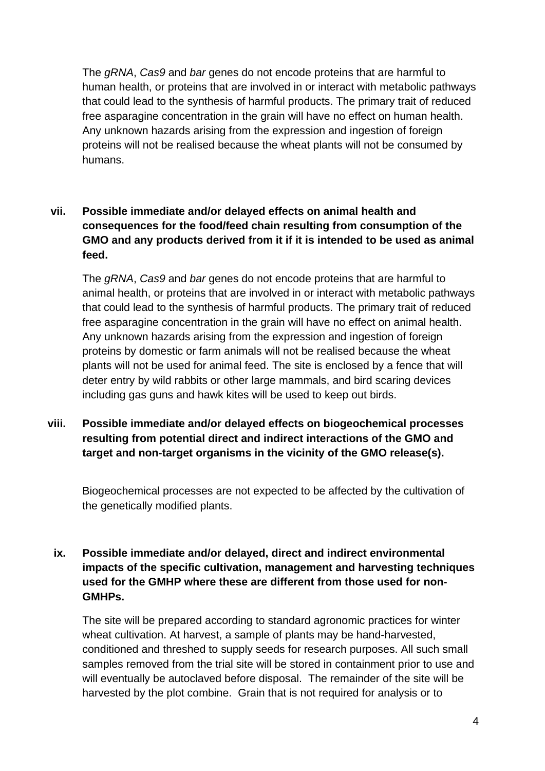The *gRNA*, *Cas9* and *bar* genes do not encode proteins that are harmful to human health, or proteins that are involved in or interact with metabolic pathways that could lead to the synthesis of harmful products. The primary trait of reduced free asparagine concentration in the grain will have no effect on human health. Any unknown hazards arising from the expression and ingestion of foreign proteins will not be realised because the wheat plants will not be consumed by humans.

#### **vii. Possible immediate and/or delayed effects on animal health and consequences for the food/feed chain resulting from consumption of the GMO and any products derived from it if it is intended to be used as animal feed.**

The *gRNA*, *Cas9* and *bar* genes do not encode proteins that are harmful to animal health, or proteins that are involved in or interact with metabolic pathways that could lead to the synthesis of harmful products. The primary trait of reduced free asparagine concentration in the grain will have no effect on animal health. Any unknown hazards arising from the expression and ingestion of foreign proteins by domestic or farm animals will not be realised because the wheat plants will not be used for animal feed. The site is enclosed by a fence that will deter entry by wild rabbits or other large mammals, and bird scaring devices including gas guns and hawk kites will be used to keep out birds.

**viii. Possible immediate and/or delayed effects on biogeochemical processes resulting from potential direct and indirect interactions of the GMO and target and non-target organisms in the vicinity of the GMO release(s).**

Biogeochemical processes are not expected to be affected by the cultivation of the genetically modified plants.

#### **ix. Possible immediate and/or delayed, direct and indirect environmental impacts of the specific cultivation, management and harvesting techniques used for the GMHP where these are different from those used for non-GMHPs.**

The site will be prepared according to standard agronomic practices for winter wheat cultivation. At harvest, a sample of plants may be hand-harvested, conditioned and threshed to supply seeds for research purposes. All such small samples removed from the trial site will be stored in containment prior to use and will eventually be autoclaved before disposal. The remainder of the site will be harvested by the plot combine. Grain that is not required for analysis or to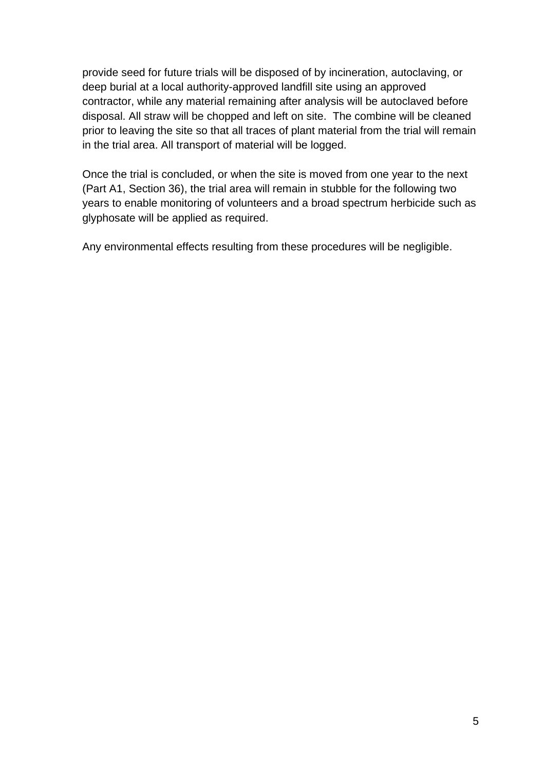provide seed for future trials will be disposed of by incineration, autoclaving, or deep burial at a local authority-approved landfill site using an approved contractor, while any material remaining after analysis will be autoclaved before disposal. All straw will be chopped and left on site. The combine will be cleaned prior to leaving the site so that all traces of plant material from the trial will remain in the trial area. All transport of material will be logged.

Once the trial is concluded, or when the site is moved from one year to the next (Part A1, Section 36), the trial area will remain in stubble for the following two years to enable monitoring of volunteers and a broad spectrum herbicide such as glyphosate will be applied as required.

Any environmental effects resulting from these procedures will be negligible.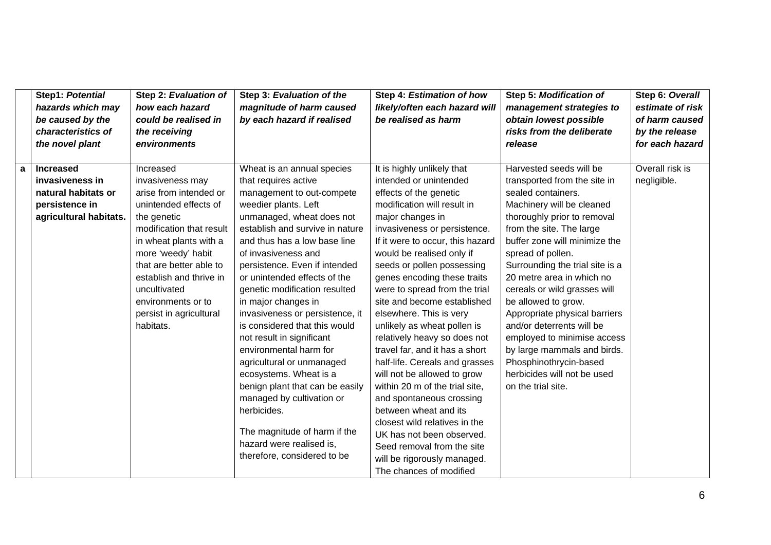|   | Step1: Potential       | Step 2: Evaluation of    | Step 3: Evaluation of the       | Step 4: Estimation of how        | Step 5: Modification of         | Step 6: Overall  |
|---|------------------------|--------------------------|---------------------------------|----------------------------------|---------------------------------|------------------|
|   | hazards which may      | how each hazard          | magnitude of harm caused        | likely/often each hazard will    | management strategies to        | estimate of risk |
|   | be caused by the       | could be realised in     | by each hazard if realised      | be realised as harm              | obtain lowest possible          | of harm caused   |
|   | characteristics of     | the receiving            |                                 |                                  | risks from the deliberate       | by the release   |
|   | the novel plant        | environments             |                                 |                                  | release                         | for each hazard  |
|   |                        |                          |                                 |                                  |                                 |                  |
| a | <b>Increased</b>       | Increased                | Wheat is an annual species      | It is highly unlikely that       | Harvested seeds will be         | Overall risk is  |
|   | invasiveness in        | invasiveness may         | that requires active            | intended or unintended           | transported from the site in    | negligible.      |
|   | natural habitats or    | arise from intended or   | management to out-compete       | effects of the genetic           | sealed containers.              |                  |
|   | persistence in         | unintended effects of    | weedier plants. Left            | modification will result in      | Machinery will be cleaned       |                  |
|   | agricultural habitats. | the genetic              | unmanaged, wheat does not       | major changes in                 | thoroughly prior to removal     |                  |
|   |                        | modification that result | establish and survive in nature | invasiveness or persistence.     | from the site. The large        |                  |
|   |                        | in wheat plants with a   | and thus has a low base line    | If it were to occur, this hazard | buffer zone will minimize the   |                  |
|   |                        | more 'weedy' habit       | of invasiveness and             | would be realised only if        | spread of pollen.               |                  |
|   |                        | that are better able to  | persistence. Even if intended   | seeds or pollen possessing       | Surrounding the trial site is a |                  |
|   |                        | establish and thrive in  | or unintended effects of the    | genes encoding these traits      | 20 metre area in which no       |                  |
|   |                        | uncultivated             | genetic modification resulted   | were to spread from the trial    | cereals or wild grasses will    |                  |
|   |                        | environments or to       | in major changes in             | site and become established      | be allowed to grow.             |                  |
|   |                        | persist in agricultural  | invasiveness or persistence, it | elsewhere. This is very          | Appropriate physical barriers   |                  |
|   |                        | habitats.                | is considered that this would   | unlikely as wheat pollen is      | and/or deterrents will be       |                  |
|   |                        |                          | not result in significant       | relatively heavy so does not     | employed to minimise access     |                  |
|   |                        |                          | environmental harm for          | travel far, and it has a short   | by large mammals and birds.     |                  |
|   |                        |                          | agricultural or unmanaged       | half-life. Cereals and grasses   | Phosphinothrycin-based          |                  |
|   |                        |                          | ecosystems. Wheat is a          | will not be allowed to grow      | herbicides will not be used     |                  |
|   |                        |                          | benign plant that can be easily | within 20 m of the trial site,   | on the trial site.              |                  |
|   |                        |                          | managed by cultivation or       | and spontaneous crossing         |                                 |                  |
|   |                        |                          | herbicides.                     | between wheat and its            |                                 |                  |
|   |                        |                          |                                 | closest wild relatives in the    |                                 |                  |
|   |                        |                          | The magnitude of harm if the    | UK has not been observed.        |                                 |                  |
|   |                        |                          | hazard were realised is,        | Seed removal from the site       |                                 |                  |
|   |                        |                          | therefore, considered to be     | will be rigorously managed.      |                                 |                  |
|   |                        |                          |                                 | The chances of modified          |                                 |                  |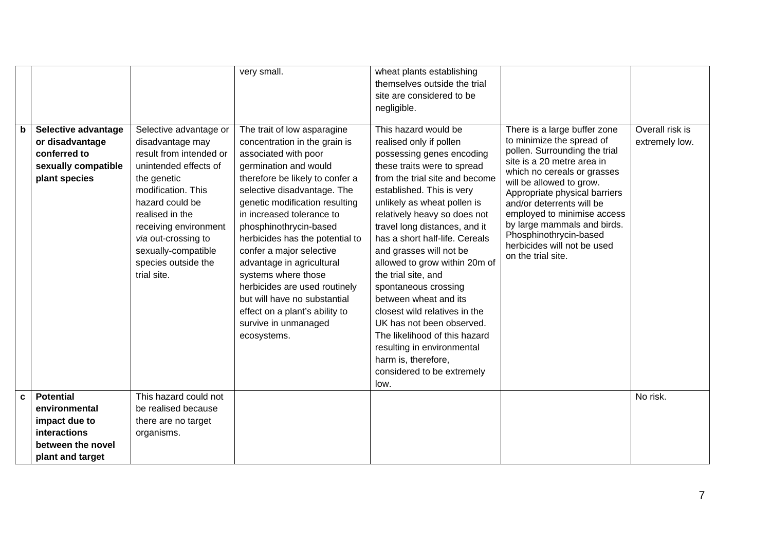|   | Selective advantage                                                     |                                                                                                                                                                                                                                                                                        | very small.                                                                                                                                                                                                                                                                                                                                                                                                                                                                                                                           | wheat plants establishing<br>themselves outside the trial<br>site are considered to be<br>negligible.<br>This hazard would be                                                                                                                                                                                                                                                                                                                                                                                                                                                                                      |                                                                                                                                                                                                                                                                                                                                                                                                | Overall risk is |
|---|-------------------------------------------------------------------------|----------------------------------------------------------------------------------------------------------------------------------------------------------------------------------------------------------------------------------------------------------------------------------------|---------------------------------------------------------------------------------------------------------------------------------------------------------------------------------------------------------------------------------------------------------------------------------------------------------------------------------------------------------------------------------------------------------------------------------------------------------------------------------------------------------------------------------------|--------------------------------------------------------------------------------------------------------------------------------------------------------------------------------------------------------------------------------------------------------------------------------------------------------------------------------------------------------------------------------------------------------------------------------------------------------------------------------------------------------------------------------------------------------------------------------------------------------------------|------------------------------------------------------------------------------------------------------------------------------------------------------------------------------------------------------------------------------------------------------------------------------------------------------------------------------------------------------------------------------------------------|-----------------|
| b | or disadvantage<br>conferred to<br>sexually compatible<br>plant species | Selective advantage or<br>disadvantage may<br>result from intended or<br>unintended effects of<br>the genetic<br>modification. This<br>hazard could be<br>realised in the<br>receiving environment<br>via out-crossing to<br>sexually-compatible<br>species outside the<br>trial site. | The trait of low asparagine<br>concentration in the grain is<br>associated with poor<br>germination and would<br>therefore be likely to confer a<br>selective disadvantage. The<br>genetic modification resulting<br>in increased tolerance to<br>phosphinothrycin-based<br>herbicides has the potential to<br>confer a major selective<br>advantage in agricultural<br>systems where those<br>herbicides are used routinely<br>but will have no substantial<br>effect on a plant's ability to<br>survive in unmanaged<br>ecosystems. | realised only if pollen<br>possessing genes encoding<br>these traits were to spread<br>from the trial site and become<br>established. This is very<br>unlikely as wheat pollen is<br>relatively heavy so does not<br>travel long distances, and it<br>has a short half-life. Cereals<br>and grasses will not be<br>allowed to grow within 20m of<br>the trial site, and<br>spontaneous crossing<br>between wheat and its<br>closest wild relatives in the<br>UK has not been observed.<br>The likelihood of this hazard<br>resulting in environmental<br>harm is, therefore,<br>considered to be extremely<br>low. | There is a large buffer zone<br>to minimize the spread of<br>pollen. Surrounding the trial<br>site is a 20 metre area in<br>which no cereals or grasses<br>will be allowed to grow.<br>Appropriate physical barriers<br>and/or deterrents will be<br>employed to minimise access<br>by large mammals and birds.<br>Phosphinothrycin-based<br>herbicides will not be used<br>on the trial site. | extremely low.  |
| C | <b>Potential</b>                                                        | This hazard could not                                                                                                                                                                                                                                                                  |                                                                                                                                                                                                                                                                                                                                                                                                                                                                                                                                       |                                                                                                                                                                                                                                                                                                                                                                                                                                                                                                                                                                                                                    |                                                                                                                                                                                                                                                                                                                                                                                                | No risk.        |
|   | environmental                                                           | be realised because                                                                                                                                                                                                                                                                    |                                                                                                                                                                                                                                                                                                                                                                                                                                                                                                                                       |                                                                                                                                                                                                                                                                                                                                                                                                                                                                                                                                                                                                                    |                                                                                                                                                                                                                                                                                                                                                                                                |                 |
|   | impact due to                                                           | there are no target                                                                                                                                                                                                                                                                    |                                                                                                                                                                                                                                                                                                                                                                                                                                                                                                                                       |                                                                                                                                                                                                                                                                                                                                                                                                                                                                                                                                                                                                                    |                                                                                                                                                                                                                                                                                                                                                                                                |                 |
|   | <b>interactions</b>                                                     | organisms.                                                                                                                                                                                                                                                                             |                                                                                                                                                                                                                                                                                                                                                                                                                                                                                                                                       |                                                                                                                                                                                                                                                                                                                                                                                                                                                                                                                                                                                                                    |                                                                                                                                                                                                                                                                                                                                                                                                |                 |
|   | between the novel                                                       |                                                                                                                                                                                                                                                                                        |                                                                                                                                                                                                                                                                                                                                                                                                                                                                                                                                       |                                                                                                                                                                                                                                                                                                                                                                                                                                                                                                                                                                                                                    |                                                                                                                                                                                                                                                                                                                                                                                                |                 |
|   | plant and target                                                        |                                                                                                                                                                                                                                                                                        |                                                                                                                                                                                                                                                                                                                                                                                                                                                                                                                                       |                                                                                                                                                                                                                                                                                                                                                                                                                                                                                                                                                                                                                    |                                                                                                                                                                                                                                                                                                                                                                                                |                 |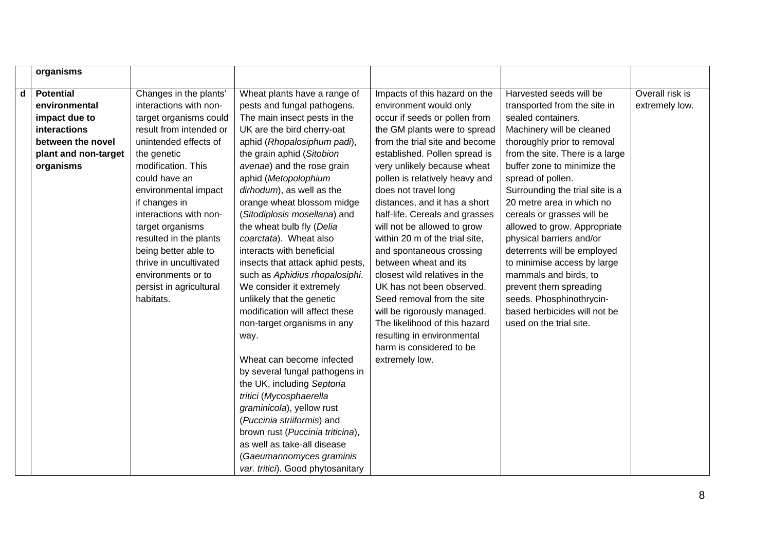|   | organisms            |                         |                                                                 |                                |                                 |                 |
|---|----------------------|-------------------------|-----------------------------------------------------------------|--------------------------------|---------------------------------|-----------------|
| d | <b>Potential</b>     | Changes in the plants'  | Wheat plants have a range of                                    | Impacts of this hazard on the  | Harvested seeds will be         | Overall risk is |
|   | environmental        | interactions with non-  | pests and fungal pathogens.                                     | environment would only         | transported from the site in    | extremely low.  |
|   | impact due to        | target organisms could  | The main insect pests in the                                    | occur if seeds or pollen from  | sealed containers.              |                 |
|   | interactions         | result from intended or | UK are the bird cherry-oat                                      | the GM plants were to spread   | Machinery will be cleaned       |                 |
|   | between the novel    | unintended effects of   | aphid (Rhopalosiphum padi),                                     | from the trial site and become | thoroughly prior to removal     |                 |
|   | plant and non-target | the genetic             | the grain aphid (Sitobion                                       | established. Pollen spread is  | from the site. There is a large |                 |
|   | organisms            | modification. This      | avenae) and the rose grain                                      | very unlikely because wheat    | buffer zone to minimize the     |                 |
|   |                      | could have an           | aphid (Metopolophium                                            | pollen is relatively heavy and | spread of pollen.               |                 |
|   |                      | environmental impact    | dirhodum), as well as the                                       | does not travel long           | Surrounding the trial site is a |                 |
|   |                      | if changes in           | orange wheat blossom midge                                      | distances, and it has a short  | 20 metre area in which no       |                 |
|   |                      | interactions with non-  | (Sitodiplosis mosellana) and                                    | half-life. Cereals and grasses | cereals or grasses will be      |                 |
|   |                      | target organisms        | the wheat bulb fly (Delia                                       | will not be allowed to grow    | allowed to grow. Appropriate    |                 |
|   |                      | resulted in the plants  | coarctata). Wheat also                                          | within 20 m of the trial site, | physical barriers and/or        |                 |
|   |                      | being better able to    | interacts with beneficial                                       | and spontaneous crossing       | deterrents will be employed     |                 |
|   |                      | thrive in uncultivated  | insects that attack aphid pests,                                | between wheat and its          | to minimise access by large     |                 |
|   |                      | environments or to      | such as Aphidius rhopalosiphi.                                  | closest wild relatives in the  | mammals and birds, to           |                 |
|   |                      | persist in agricultural | We consider it extremely                                        | UK has not been observed.      | prevent them spreading          |                 |
|   |                      | habitats.               | unlikely that the genetic                                       | Seed removal from the site     | seeds. Phosphinothrycin-        |                 |
|   |                      |                         | modification will affect these                                  | will be rigorously managed.    | based herbicides will not be    |                 |
|   |                      |                         | non-target organisms in any                                     | The likelihood of this hazard  | used on the trial site.         |                 |
|   |                      |                         | way.                                                            | resulting in environmental     |                                 |                 |
|   |                      |                         |                                                                 | harm is considered to be       |                                 |                 |
|   |                      |                         | Wheat can become infected                                       | extremely low.                 |                                 |                 |
|   |                      |                         | by several fungal pathogens in                                  |                                |                                 |                 |
|   |                      |                         | the UK, including Septoria                                      |                                |                                 |                 |
|   |                      |                         | tritici (Mycosphaerella                                         |                                |                                 |                 |
|   |                      |                         | graminicola), yellow rust                                       |                                |                                 |                 |
|   |                      |                         | (Puccinia striiformis) and                                      |                                |                                 |                 |
|   |                      |                         | brown rust (Puccinia triticina),<br>as well as take-all disease |                                |                                 |                 |
|   |                      |                         |                                                                 |                                |                                 |                 |
|   |                      |                         | (Gaeumannomyces graminis                                        |                                |                                 |                 |
|   |                      |                         | var. tritici). Good phytosanitary                               |                                |                                 |                 |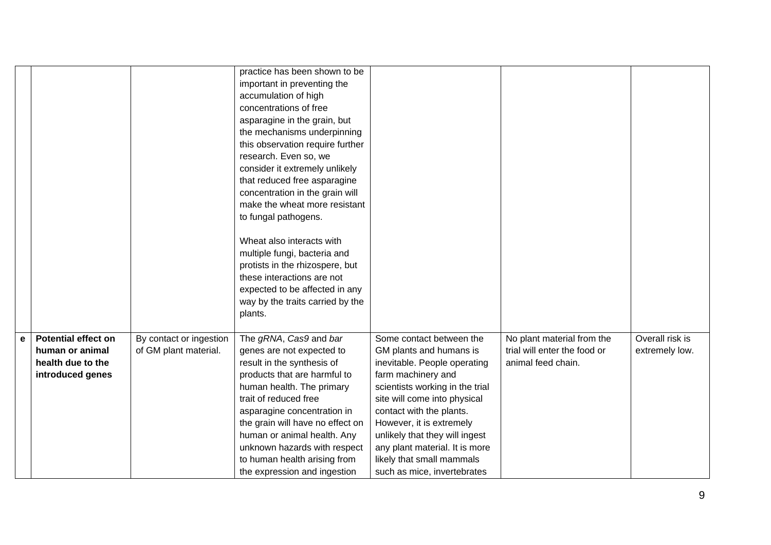|             |                            |                         | practice has been shown to be<br>important in preventing the<br>accumulation of high |                                                                  |                              |                 |
|-------------|----------------------------|-------------------------|--------------------------------------------------------------------------------------|------------------------------------------------------------------|------------------------------|-----------------|
|             |                            |                         | concentrations of free<br>asparagine in the grain, but                               |                                                                  |                              |                 |
|             |                            |                         | the mechanisms underpinning                                                          |                                                                  |                              |                 |
|             |                            |                         | this observation require further                                                     |                                                                  |                              |                 |
|             |                            |                         | research. Even so, we                                                                |                                                                  |                              |                 |
|             |                            |                         | consider it extremely unlikely                                                       |                                                                  |                              |                 |
|             |                            |                         | that reduced free asparagine                                                         |                                                                  |                              |                 |
|             |                            |                         | concentration in the grain will                                                      |                                                                  |                              |                 |
|             |                            |                         | make the wheat more resistant                                                        |                                                                  |                              |                 |
|             |                            |                         | to fungal pathogens.                                                                 |                                                                  |                              |                 |
|             |                            |                         | Wheat also interacts with                                                            |                                                                  |                              |                 |
|             |                            |                         | multiple fungi, bacteria and                                                         |                                                                  |                              |                 |
|             |                            |                         | protists in the rhizospere, but                                                      |                                                                  |                              |                 |
|             |                            |                         | these interactions are not                                                           |                                                                  |                              |                 |
|             |                            |                         | expected to be affected in any                                                       |                                                                  |                              |                 |
|             |                            |                         | way by the traits carried by the                                                     |                                                                  |                              |                 |
|             |                            |                         | plants.                                                                              |                                                                  |                              |                 |
| $\mathbf e$ | <b>Potential effect on</b> | By contact or ingestion | The gRNA, Cas9 and bar                                                               | Some contact between the                                         | No plant material from the   | Overall risk is |
|             | human or animal            | of GM plant material.   | genes are not expected to                                                            | GM plants and humans is                                          | trial will enter the food or | extremely low.  |
|             | health due to the          |                         | result in the synthesis of                                                           | inevitable. People operating                                     | animal feed chain.           |                 |
|             | introduced genes           |                         | products that are harmful to                                                         | farm machinery and                                               |                              |                 |
|             |                            |                         | human health. The primary                                                            | scientists working in the trial                                  |                              |                 |
|             |                            |                         | trait of reduced free                                                                | site will come into physical                                     |                              |                 |
|             |                            |                         | asparagine concentration in                                                          | contact with the plants.                                         |                              |                 |
|             |                            |                         | the grain will have no effect on                                                     | However, it is extremely                                         |                              |                 |
|             |                            |                         | human or animal health. Any<br>unknown hazards with respect                          | unlikely that they will ingest<br>any plant material. It is more |                              |                 |
|             |                            |                         | to human health arising from                                                         | likely that small mammals                                        |                              |                 |
|             |                            |                         | the expression and ingestion                                                         | such as mice, invertebrates                                      |                              |                 |
|             |                            |                         |                                                                                      |                                                                  |                              |                 |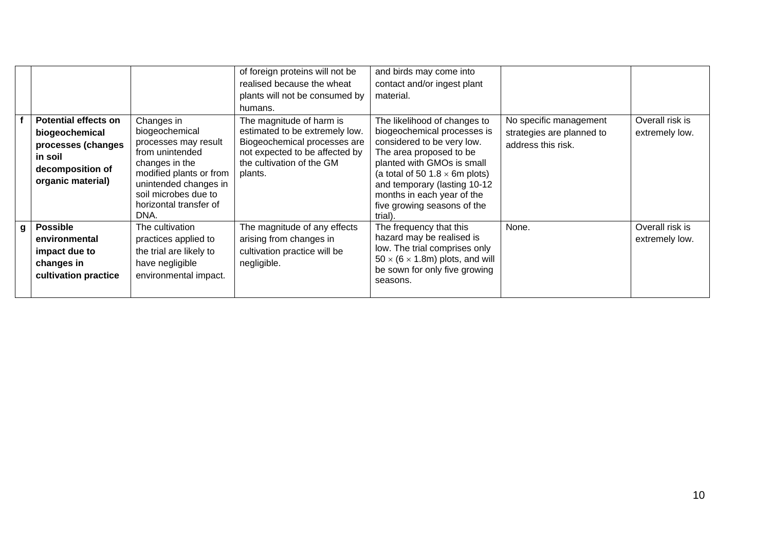|   | <b>Potential effects on</b><br>biogeochemical<br>processes (changes<br>in soil<br>decomposition of<br>organic material) | Changes in<br>biogeochemical<br>processes may result<br>from unintended<br>changes in the<br>modified plants or from<br>unintended changes in<br>soil microbes due to<br>horizontal transfer of<br>DNA. | of foreign proteins will not be<br>realised because the wheat<br>plants will not be consumed by<br>humans.<br>The magnitude of harm is<br>estimated to be extremely low.<br>Biogeochemical processes are<br>not expected to be affected by<br>the cultivation of the GM<br>plants. | and birds may come into<br>contact and/or ingest plant<br>material.<br>The likelihood of changes to<br>biogeochemical processes is<br>considered to be very low.<br>The area proposed to be<br>planted with GMOs is small<br>(a total of 50 1.8 $\times$ 6m plots)<br>and temporary (lasting 10-12<br>months in each year of the<br>five growing seasons of the<br>trial). | No specific management<br>strategies are planned to<br>address this risk. | Overall risk is<br>extremely low. |
|---|-------------------------------------------------------------------------------------------------------------------------|---------------------------------------------------------------------------------------------------------------------------------------------------------------------------------------------------------|------------------------------------------------------------------------------------------------------------------------------------------------------------------------------------------------------------------------------------------------------------------------------------|----------------------------------------------------------------------------------------------------------------------------------------------------------------------------------------------------------------------------------------------------------------------------------------------------------------------------------------------------------------------------|---------------------------------------------------------------------------|-----------------------------------|
| g | <b>Possible</b><br>environmental<br>impact due to<br>changes in<br>cultivation practice                                 | The cultivation<br>practices applied to<br>the trial are likely to<br>have negligible<br>environmental impact.                                                                                          | The magnitude of any effects<br>arising from changes in<br>cultivation practice will be<br>negligible.                                                                                                                                                                             | The frequency that this<br>hazard may be realised is<br>low. The trial comprises only<br>$50 \times (6 \times 1.8m)$ plots, and will<br>be sown for only five growing<br>seasons.                                                                                                                                                                                          | None.                                                                     | Overall risk is<br>extremely low. |